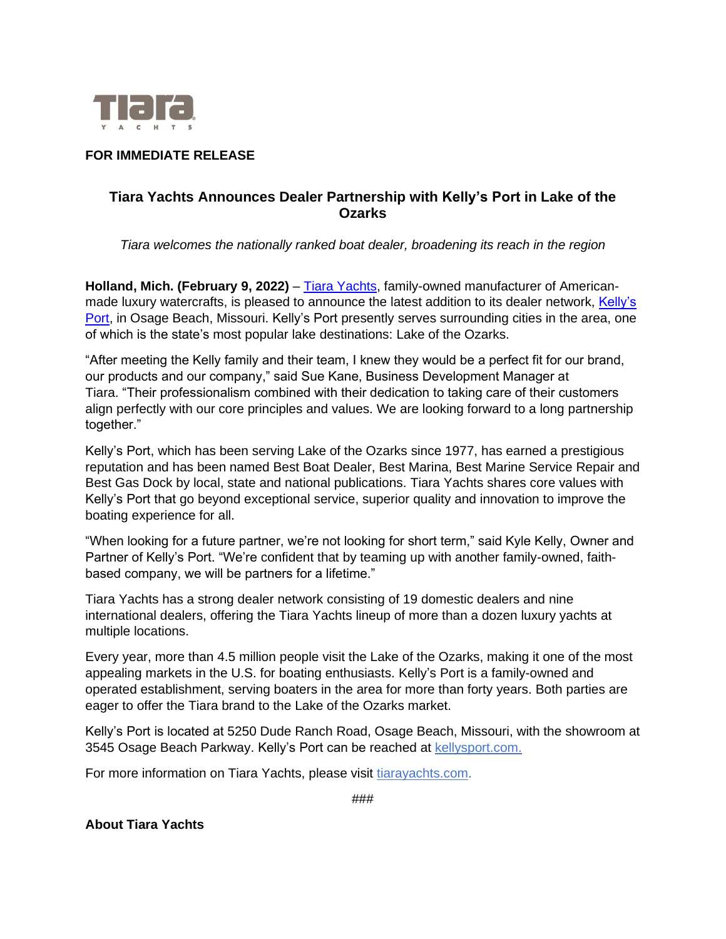

## **FOR IMMEDIATE RELEASE**

## **Tiara Yachts Announces Dealer Partnership with Kelly's Port in Lake of the Ozarks**

*Tiara welcomes the nationally ranked boat dealer, broadening its reach in the region*

Holland, Mich. (February 9, 2022) – [Tiara Yachts,](https://www.tiarayachts.com/) family-owned manufacturer of Americanmade luxury watercrafts, is pleased to announce the latest addition to its dealer network, Kelly's [Port,](https://www.kellysport.com/) in Osage Beach, Missouri. Kelly's Port presently serves surrounding cities in the area, one of which is the state's most popular lake destinations: Lake of the Ozarks.

"After meeting the Kelly family and their team, I knew they would be a perfect fit for our brand, our products and our company," said Sue Kane, Business Development Manager at Tiara. "Their professionalism combined with their dedication to taking care of their customers align perfectly with our core principles and values. We are looking forward to a long partnership together."

Kelly's Port, which has been serving Lake of the Ozarks since 1977, has earned a prestigious reputation and has been named Best Boat Dealer, Best Marina, Best Marine Service Repair and Best Gas Dock by local, state and national publications. Tiara Yachts shares core values with Kelly's Port that go beyond exceptional service, superior quality and innovation to improve the boating experience for all.

"When looking for a future partner, we're not looking for short term," said Kyle Kelly, Owner and Partner of Kelly's Port. "We're confident that by teaming up with another family-owned, faithbased company, we will be partners for a lifetime."

Tiara Yachts has a strong dealer network consisting of 19 domestic dealers and nine international dealers, offering the Tiara Yachts lineup of more than a dozen luxury yachts at multiple locations.

Every year, more than 4.5 million people visit the Lake of the Ozarks, making it one of the most appealing markets in the U.S. for boating enthusiasts. Kelly's Port is a family-owned and operated establishment, serving boaters in the area for more than forty years. Both parties are eager to offer the Tiara brand to the Lake of the Ozarks market.

Kelly's Port is located at 5250 Dude Ranch Road, Osage Beach, Missouri, with the showroom at 3545 Osage Beach Parkway. Kelly's Port can be reached at [kellysport.com.](https://www.kellysport.com/)

For more information on Tiara Yachts, please visit [tiarayachts.com.](https://www.tiarayachts.com/)

**About Tiara Yachts**